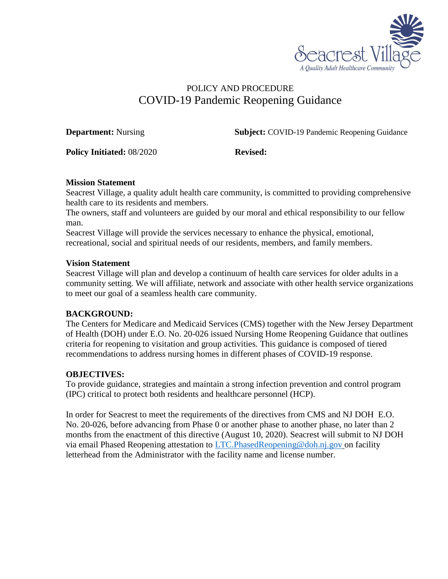

# POLICY AND PROCEDURE COVID-19 Pandemic Reopening Guidance

**Department:** Nursing **Subject:** COVID-19 Pandemic Reopening Guidance

**Policy Initiated:** 08/2020 **Revised:** 

### **Mission Statement**

Seacrest Village, a quality adult health care community, is committed to providing comprehensive health care to its residents and members.

The owners, staff and volunteers are guided by our moral and ethical responsibility to our fellow man.

Seacrest Village will provide the services necessary to enhance the physical, emotional, recreational, social and spiritual needs of our residents, members, and family members.

#### **Vision Statement**

Seacrest Village will plan and develop a continuum of health care services for older adults in a community setting. We will affiliate, network and associate with other health service organizations to meet our goal of a seamless health care community.

### **BACKGROUND:**

The Centers for Medicare and Medicaid Services (CMS) together with the New Jersey Department of Health (DOH) under E.O. No. 20-026 issued Nursing Home Reopening Guidance that outlines criteria for reopening to visitation and group activities. This guidance is composed of tiered recommendations to address nursing homes in different phases of COVID-19 response.

## **OBJECTIVES:**

To provide guidance, strategies and maintain a strong infection prevention and control program (IPC) critical to protect both residents and healthcare personnel (HCP).

In order for Seacrest to meet the requirements of the directives from CMS and NJ DOH E.O. No. 20-026, before advancing from Phase 0 or another phase to another phase, no later than 2 months from the enactment of this directive (August 10, 2020). Seacrest will submit to NJ DOH via email Phased Reopening attestation to [LTC.PhasedReopening@doh.nj.gov](mailto:LTC.PhasedReopening@doh.nj.gov) on facility letterhead from the Administrator with the facility name and license number.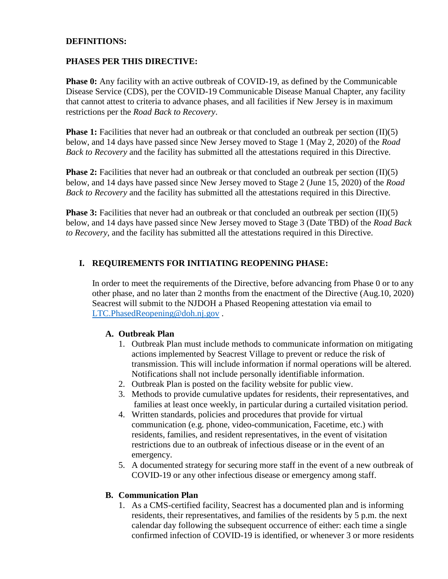#### **DEFINITIONS:**

#### **PHASES PER THIS DIRECTIVE:**

**Phase 0:** Any facility with an active outbreak of COVID-19, as defined by the Communicable Disease Service (CDS), per the COVID-19 Communicable Disease Manual Chapter, any facility that cannot attest to criteria to advance phases, and all facilities if New Jersey is in maximum restrictions per the *Road Back to Recovery*.

**Phase 1:** Facilities that never had an outbreak or that concluded an outbreak per section (II)(5) below, and 14 days have passed since New Jersey moved to Stage 1 (May 2, 2020) of the *Road Back to Recovery* and the facility has submitted all the attestations required in this Directive.

**Phase 2:** Facilities that never had an outbreak or that concluded an outbreak per section  $(II)(5)$ below, and 14 days have passed since New Jersey moved to Stage 2 (June 15, 2020) of the *Road Back to Recovery* and the facility has submitted all the attestations required in this Directive.

**Phase 3:** Facilities that never had an outbreak or that concluded an outbreak per section (II)(5) below, and 14 days have passed since New Jersey moved to Stage 3 (Date TBD) of the *Road Back to Recovery*, and the facility has submitted all the attestations required in this Directive.

#### **I. REQUIREMENTS FOR INITIATING REOPENING PHASE:**

In order to meet the requirements of the Directive, before advancing from Phase 0 or to any other phase, and no later than 2 months from the enactment of the Directive (Aug.10, 2020) Seacrest will submit to the NJDOH a Phased Reopening attestation via email to [LTC.PhasedReopening@doh.nj.gov](mailto:LTC.PhasedReopening@doh.nj.gov).

#### **A. Outbreak Plan**

- 1. Outbreak Plan must include methods to communicate information on mitigating actions implemented by Seacrest Village to prevent or reduce the risk of transmission. This will include information if normal operations will be altered. Notifications shall not include personally identifiable information.
- 2. Outbreak Plan is posted on the facility website for public view.
- 3. Methods to provide cumulative updates for residents, their representatives, and families at least once weekly, in particular during a curtailed visitation period.
- 4. Written standards, policies and procedures that provide for virtual communication (e.g. phone, video-communication, Facetime, etc.) with residents, families, and resident representatives, in the event of visitation restrictions due to an outbreak of infectious disease or in the event of an emergency.
- 5. A documented strategy for securing more staff in the event of a new outbreak of COVID-19 or any other infectious disease or emergency among staff.

#### **B. Communication Plan**

1. As a CMS-certified facility, Seacrest has a documented plan and is informing residents, their representatives, and families of the residents by 5 p.m. the next calendar day following the subsequent occurrence of either: each time a single confirmed infection of COVID-19 is identified, or whenever 3 or more residents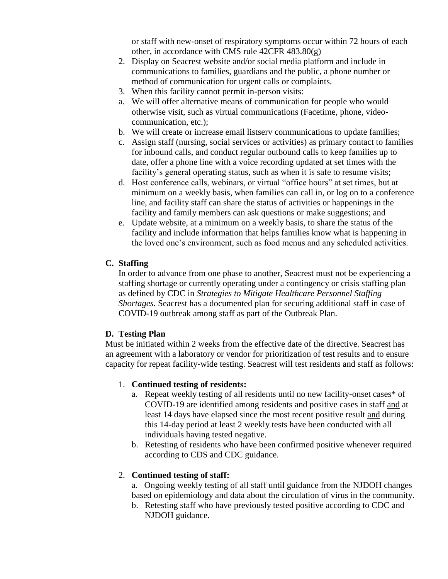or staff with new-onset of respiratory symptoms occur within 72 hours of each other, in accordance with CMS rule 42CFR 483.80(g)

- 2. Display on Seacrest website and/or social media platform and include in communications to families, guardians and the public, a phone number or method of communication for urgent calls or complaints.
- 3. When this facility cannot permit in-person visits:
- a. We will offer alternative means of communication for people who would otherwise visit, such as virtual communications (Facetime, phone, videocommunication, etc.);
- b. We will create or increase email listserv communications to update families;
- c. Assign staff (nursing, social services or activities) as primary contact to families for inbound calls, and conduct regular outbound calls to keep families up to date, offer a phone line with a voice recording updated at set times with the facility's general operating status, such as when it is safe to resume visits;
- d. Host conference calls, webinars, or virtual "office hours" at set times, but at minimum on a weekly basis, when families can call in, or log on to a conference line, and facility staff can share the status of activities or happenings in the facility and family members can ask questions or make suggestions; and
- e. Update website, at a minimum on a weekly basis, to share the status of the facility and include information that helps families know what is happening in the loved one's environment, such as food menus and any scheduled activities.

#### **C. Staffing**

In order to advance from one phase to another, Seacrest must not be experiencing a staffing shortage or currently operating under a contingency or crisis staffing plan as defined by CDC in *Strategies to Mitigate Healthcare Personnel Staffing Shortages.* Seacrest has a documented plan for securing additional staff in case of COVID-19 outbreak among staff as part of the Outbreak Plan.

#### **D. Testing Plan**

Must be initiated within 2 weeks from the effective date of the directive. Seacrest has an agreement with a laboratory or vendor for prioritization of test results and to ensure capacity for repeat facility-wide testing. Seacrest will test residents and staff as follows:

#### 1. **Continued testing of residents:**

- a. Repeat weekly testing of all residents until no new facility-onset cases\* of COVID-19 are identified among residents and positive cases in staff and at least 14 days have elapsed since the most recent positive result and during this 14-day period at least 2 weekly tests have been conducted with all individuals having tested negative.
- b. Retesting of residents who have been confirmed positive whenever required according to CDS and CDC guidance.

### 2. **Continued testing of staff:**

a. Ongoing weekly testing of all staff until guidance from the NJDOH changes based on epidemiology and data about the circulation of virus in the community.

b. Retesting staff who have previously tested positive according to CDC and NJDOH guidance.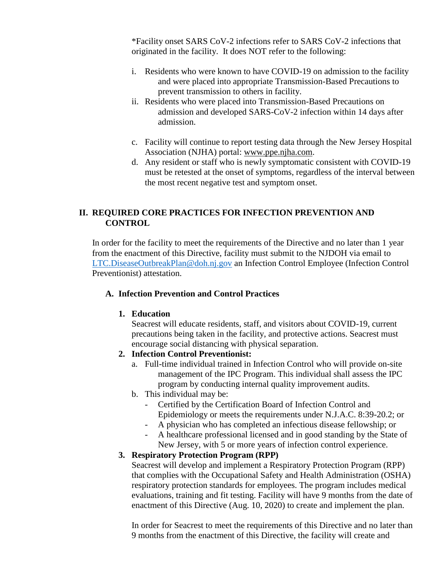\*Facility onset SARS CoV-2 infections refer to SARS CoV-2 infections that originated in the facility. It does NOT refer to the following:

- i. Residents who were known to have COVID-19 on admission to the facility and were placed into appropriate Transmission-Based Precautions to prevent transmission to others in facility.
- ii. Residents who were placed into Transmission-Based Precautions on admission and developed SARS-CoV-2 infection within 14 days after admission.
- c. Facility will continue to report testing data through the New Jersey Hospital Association (NJHA) portal: [www.ppe.njha.com.](http://www.ppe.njha.com/)
- d. Any resident or staff who is newly symptomatic consistent with COVID-19 must be retested at the onset of symptoms, regardless of the interval between the most recent negative test and symptom onset.

## **II. REQUIRED CORE PRACTICES FOR INFECTION PREVENTION AND CONTROL**

 In order for the facility to meet the requirements of the Directive and no later than 1 year from the enactment of this Directive, facility must submit to the NJDOH via email to [LTC.DiseaseOutbreakPlan@doh.nj.gov](mailto:LTC.DiseaseOutbreakPlan@doh.nj.gov) an Infection Control Employee (Infection Control Preventionist) attestation.

### **A. Infection Prevention and Control Practices**

### **1. Education**

Seacrest will educate residents, staff, and visitors about COVID-19, current precautions being taken in the facility, and protective actions. Seacrest must encourage social distancing with physical separation.

- **2. Infection Control Preventionist:**
	- a. Full-time individual trained in Infection Control who will provide on-site management of the IPC Program. This individual shall assess the IPC program by conducting internal quality improvement audits.
	- b. This individual may be:
		- Certified by the Certification Board of Infection Control and Epidemiology or meets the requirements under N.J.A.C. 8:39-20.2; or
		- A physician who has completed an infectious disease fellowship; or
		- A healthcare professional licensed and in good standing by the State of New Jersey, with 5 or more years of infection control experience.

## **3. Respiratory Protection Program (RPP)**

Seacrest will develop and implement a Respiratory Protection Program (RPP) that complies with the Occupational Safety and Health Administration (OSHA) respiratory protection standards for employees. The program includes medical evaluations, training and fit testing. Facility will have 9 months from the date of enactment of this Directive (Aug. 10, 2020) to create and implement the plan.

In order for Seacrest to meet the requirements of this Directive and no later than 9 months from the enactment of this Directive, the facility will create and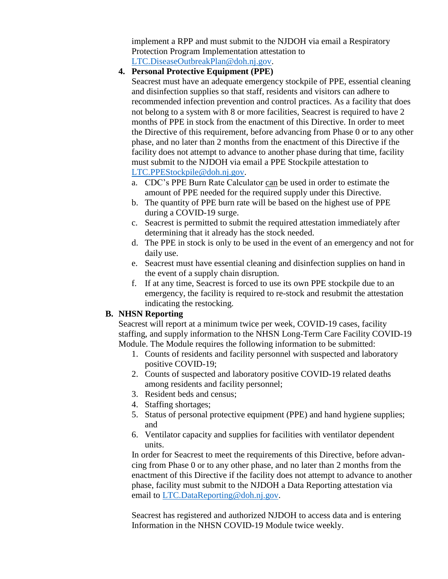implement a RPP and must submit to the NJDOH via email a Respiratory Protection Program Implementation attestation to [LTC.DiseaseOutbreakPlan@doh.nj.gov.](mailto:LTC.DiseaseOutbreakPlan@doh.nj.gov)

#### **4. Personal Protective Equipment (PPE)**

Seacrest must have an adequate emergency stockpile of PPE, essential cleaning and disinfection supplies so that staff, residents and visitors can adhere to recommended infection prevention and control practices. As a facility that does not belong to a system with 8 or more facilities, Seacrest is required to have 2 months of PPE in stock from the enactment of this Directive. In order to meet the Directive of this requirement, before advancing from Phase 0 or to any other phase, and no later than 2 months from the enactment of this Directive if the facility does not attempt to advance to another phase during that time, facility must submit to the NJDOH via email a PPE Stockpile attestation to [LTC.PPEStockpile@doh.nj.gov.](mailto:LTC.PPEStockpile@doh.nj.gov)

- a. CDC's PPE Burn Rate Calculator can be used in order to estimate the amount of PPE needed for the required supply under this Directive.
- b. The quantity of PPE burn rate will be based on the highest use of PPE during a COVID-19 surge.
- c. Seacrest is permitted to submit the required attestation immediately after determining that it already has the stock needed.
- d. The PPE in stock is only to be used in the event of an emergency and not for daily use.
- e. Seacrest must have essential cleaning and disinfection supplies on hand in the event of a supply chain disruption.
- f. If at any time, Seacrest is forced to use its own PPE stockpile due to an emergency, the facility is required to re-stock and resubmit the attestation indicating the restocking.

### **B. NHSN Reporting**

Seacrest will report at a minimum twice per week, COVID-19 cases, facility staffing, and supply information to the NHSN Long-Term Care Facility COVID-19 Module. The Module requires the following information to be submitted:

- 1. Counts of residents and facility personnel with suspected and laboratory positive COVID-19;
- 2. Counts of suspected and laboratory positive COVID-19 related deaths among residents and facility personnel;
- 3. Resident beds and census;
- 4. Staffing shortages;
- 5. Status of personal protective equipment (PPE) and hand hygiene supplies; and
- 6. Ventilator capacity and supplies for facilities with ventilator dependent units.

 In order for Seacrest to meet the requirements of this Directive, before advan cing from Phase 0 or to any other phase, and no later than 2 months from the enactment of this Directive if the facility does not attempt to advance to another phase, facility must submit to the NJDOH a Data Reporting attestation via email to [LTC.DataReporting@doh.nj.gov.](mailto:LTC.DataReporting@doh.nj.gov)

 Seacrest has registered and authorized NJDOH to access data and is entering Information in the NHSN COVID-19 Module twice weekly.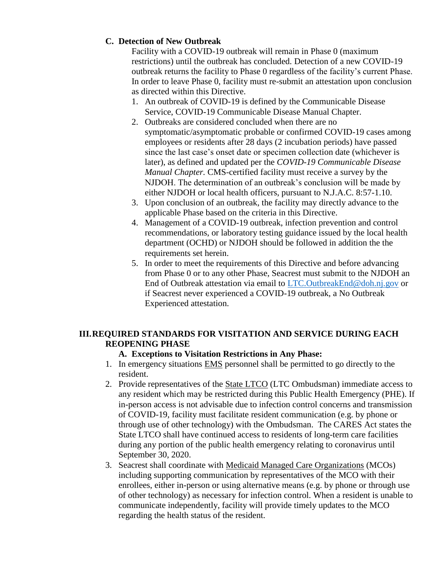### **C. Detection of New Outbreak**

Facility with a COVID-19 outbreak will remain in Phase 0 (maximum restrictions) until the outbreak has concluded. Detection of a new COVID-19 outbreak returns the facility to Phase 0 regardless of the facility's current Phase. In order to leave Phase 0, facility must re-submit an attestation upon conclusion as directed within this Directive.

- 1. An outbreak of COVID-19 is defined by the Communicable Disease Service, COVID-19 Communicable Disease Manual Chapter.
- 2. Outbreaks are considered concluded when there are no symptomatic/asymptomatic probable or confirmed COVID-19 cases among employees or residents after 28 days (2 incubation periods) have passed since the last case's onset date or specimen collection date (whichever is later), as defined and updated per the *COVID-19 Communicable Disease Manual Chapter.* CMS-certified facility must receive a survey by the NJDOH. The determination of an outbreak's conclusion will be made by either NJDOH or local health officers, pursuant to N.J.A.C. 8:57-1.10.
- 3. Upon conclusion of an outbreak, the facility may directly advance to the applicable Phase based on the criteria in this Directive.
- 4. Management of a COVID-19 outbreak, infection prevention and control recommendations, or laboratory testing guidance issued by the local health department (OCHD) or NJDOH should be followed in addition the the requirements set herein.
- 5. In order to meet the requirements of this Directive and before advancing from Phase 0 or to any other Phase, Seacrest must submit to the NJDOH an End of Outbreak attestation via email to [LTC.OutbreakEnd@doh.nj.gov](mailto:LTC.OutbreakEnd@doh.nj.gov) or if Seacrest never experienced a COVID-19 outbreak, a No Outbreak Experienced attestation.

## **III.REQUIRED STANDARDS FOR VISITATION AND SERVICE DURING EACH REOPENING PHASE**

## **A. Exceptions to Visitation Restrictions in Any Phase:**

- 1. In emergency situations EMS personnel shall be permitted to go directly to the resident.
- 2. Provide representatives of the State LTCO (LTC Ombudsman) immediate access to any resident which may be restricted during this Public Health Emergency (PHE). If in-person access is not advisable due to infection control concerns and transmission of COVID-19, facility must facilitate resident communication (e.g. by phone or through use of other technology) with the Ombudsman. The CARES Act states the State LTCO shall have continued access to residents of long-term care facilities during any portion of the public health emergency relating to coronavirus until September 30, 2020.
- 3. Seacrest shall coordinate with Medicaid Managed Care Organizations (MCOs) including supporting communication by representatives of the MCO with their enrollees, either in-person or using alternative means (e.g. by phone or through use of other technology) as necessary for infection control. When a resident is unable to communicate independently, facility will provide timely updates to the MCO regarding the health status of the resident.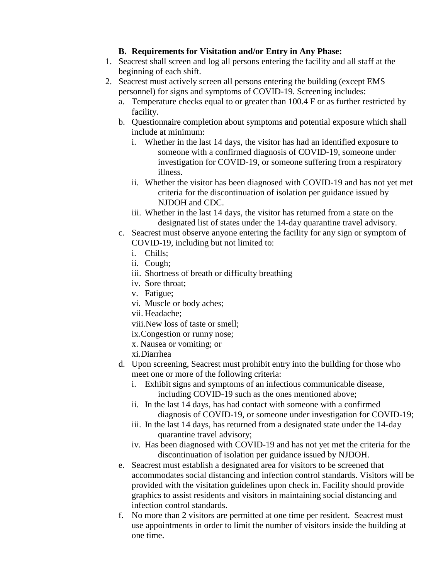### **B. Requirements for Visitation and/or Entry in Any Phase:**

- 1. Seacrest shall screen and log all persons entering the facility and all staff at the beginning of each shift.
- 2. Seacrest must actively screen all persons entering the building (except EMS personnel) for signs and symptoms of COVID-19. Screening includes:
	- a. Temperature checks equal to or greater than 100.4 F or as further restricted by facility.
	- b. Questionnaire completion about symptoms and potential exposure which shall include at minimum:
		- i. Whether in the last 14 days, the visitor has had an identified exposure to someone with a confirmed diagnosis of COVID-19, someone under investigation for COVID-19, or someone suffering from a respiratory illness.
		- ii. Whether the visitor has been diagnosed with COVID-19 and has not yet met criteria for the discontinuation of isolation per guidance issued by NJDOH and CDC.
		- iii. Whether in the last 14 days, the visitor has returned from a state on the designated list of states under the 14-day quarantine travel advisory.
	- c. Seacrest must observe anyone entering the facility for any sign or symptom of COVID-19, including but not limited to:
		- i. Chills;
		- ii. Cough;
		- iii. Shortness of breath or difficulty breathing
		- iv. Sore throat;
		- v. Fatigue;
		- vi. Muscle or body aches;
		- vii. Headache;
		- viii.New loss of taste or smell;
		- ix.Congestion or runny nose;
		- x. Nausea or vomiting; or
		- xi.Diarrhea
	- d. Upon screening, Seacrest must prohibit entry into the building for those who meet one or more of the following criteria:
		- i. Exhibit signs and symptoms of an infectious communicable disease, including COVID-19 such as the ones mentioned above;
		- ii. In the last 14 days, has had contact with someone with a confirmed diagnosis of COVID-19, or someone under investigation for COVID-19;
		- iii. In the last 14 days, has returned from a designated state under the 14-day quarantine travel advisory;
		- iv. Has been diagnosed with COVID-19 and has not yet met the criteria for the discontinuation of isolation per guidance issued by NJDOH.
	- e. Seacrest must establish a designated area for visitors to be screened that accommodates social distancing and infection control standards. Visitors will be provided with the visitation guidelines upon check in. Facility should provide graphics to assist residents and visitors in maintaining social distancing and infection control standards.
	- f. No more than 2 visitors are permitted at one time per resident. Seacrest must use appointments in order to limit the number of visitors inside the building at one time.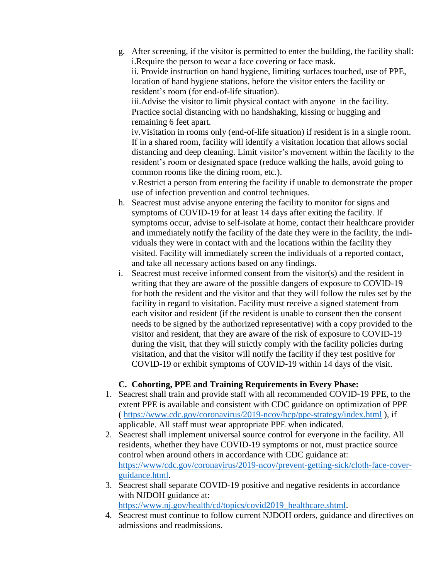g. After screening, if the visitor is permitted to enter the building, the facility shall: i.Require the person to wear a face covering or face mask.

ii. Provide instruction on hand hygiene, limiting surfaces touched, use of PPE, location of hand hygiene stations, before the visitor enters the facility or resident's room (for end-of-life situation).

iii.Advise the visitor to limit physical contact with anyone in the facility. Practice social distancing with no handshaking, kissing or hugging and remaining 6 feet apart.

iv.Visitation in rooms only (end-of-life situation) if resident is in a single room. If in a shared room, facility will identify a visitation location that allows social distancing and deep cleaning. Limit visitor's movement within the facility to the resident's room or designated space (reduce walking the halls, avoid going to common rooms like the dining room, etc.).

v.Restrict a person from entering the facility if unable to demonstrate the proper use of infection prevention and control techniques.

- h. Seacrest must advise anyone entering the facility to monitor for signs and symptoms of COVID-19 for at least 14 days after exiting the facility. If symptoms occur, advise to self-isolate at home, contact their healthcare provider and immediately notify the facility of the date they were in the facility, the indi viduals they were in contact with and the locations within the facility they visited. Facility will immediately screen the individuals of a reported contact, and take all necessary actions based on any findings.
- i. Seacrest must receive informed consent from the visitor(s) and the resident in writing that they are aware of the possible dangers of exposure to COVID-19 for both the resident and the visitor and that they will follow the rules set by the facility in regard to visitation. Facility must receive a signed statement from each visitor and resident (if the resident is unable to consent then the consent needs to be signed by the authorized representative) with a copy provided to the visitor and resident, that they are aware of the risk of exposure to COVID-19 during the visit, that they will strictly comply with the facility policies during visitation, and that the visitor will notify the facility if they test positive for COVID-19 or exhibit symptoms of COVID-19 within 14 days of the visit.

### **C. Cohorting, PPE and Training Requirements in Every Phase:**

- 1. Seacrest shall train and provide staff with all recommended COVID-19 PPE, to the extent PPE is available and consistent with CDC guidance on optimization of PPE (<https://www.cdc.gov/coronavirus/2019-ncov/hcp/ppe-strategy/index.html> ), if applicable. All staff must wear appropriate PPE when indicated.
- 2. Seacrest shall implement universal source control for everyone in the facility. All residents, whether they have COVID-19 symptoms or not, must practice source control when around others in accordance with CDC guidance at: [https://www/cdc.gov/coronavirus/2019-ncov/prevent-getting-sick/cloth-face-cover](https://www/cdc.gov/coronavirus/2019-ncov/prevent-getting-sick/cloth-face-cover-guidance.html)[guidance.html.](https://www/cdc.gov/coronavirus/2019-ncov/prevent-getting-sick/cloth-face-cover-guidance.html)
- 3. Seacrest shall separate COVID-19 positive and negative residents in accordance with NJDOH guidance at: [https://www.nj.gov/health/cd/topics/covid2019\\_healthcare.shtml.](https://www.nj.gov/health/cd/topics/covid2019_healthcare.shtml)
- 4. Seacrest must continue to follow current NJDOH orders, guidance and directives on admissions and readmissions.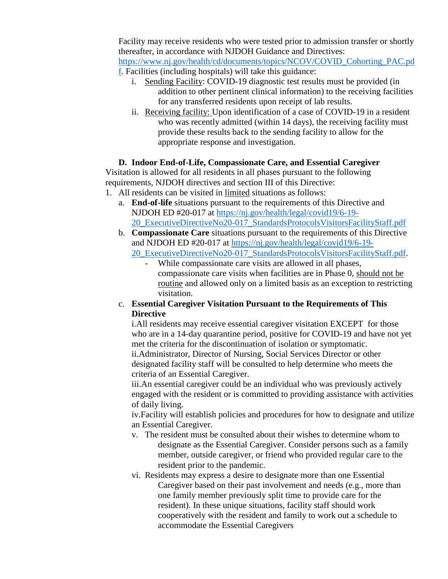Facility may receive residents who were tested prior to admission transfer or shortly thereafter, in accordance with NJDOH Guidance and Directives: [https://www.nj.gov/health/cd/documents/topics/NCOV/COVID\\_Cohorting\\_PAC.pd](https://www.nj.gov/health/cd/documents/topics/NCOV/COVID_Cohorting_PAC.pdf)

- [f.](https://www.nj.gov/health/cd/documents/topics/NCOV/COVID_Cohorting_PAC.pdf) Facilities (including hospitals) will take this guidance:
	- i. Sending Facility: COVID-19 diagnostic test results must be provided (in addition to other pertinent clinical information) to the receiving facilities for any transferred residents upon receipt of lab results.
	- ii. Receiving facility: Upon identification of a case of COVID-19 in a resident who was recently admitted (within 14 days), the receiving facility must provide these results back to the sending facility to allow for the appropriate response and investigation.

#### **D. Indoor End-of-Life, Compassionate Care, and Essential Caregiver**

Visitation is allowed for all residents in all phases pursuant to the following requirements, NJDOH directives and section III of this Directive:

- 1. All residents can be visited in limited situations as follows:
	- a. **End-of-life** situations pursuant to the requirements of this Directive and NJDOH ED #20-017 at [https://nj.gov/health/legal/covid19/6-19-](https://nj.gov/health/legal/covid19/6-19-20_ExecutiveDirectiveNo20-017_StandardsProtocolsVisitorsFacilityStaff.pdf) [20\\_ExecutiveDirectiveNo20-017\\_StandardsProtocolsVisitorsFacilityStaff.pdf](https://nj.gov/health/legal/covid19/6-19-20_ExecutiveDirectiveNo20-017_StandardsProtocolsVisitorsFacilityStaff.pdf)
	- b. **Compassionate Care** situations pursuant to the requirements of this Directive and NJDOH ED #20-017 at [https://nj.gov/health/legal/covid19/6-19-](https://nj.gov/health/legal/covid19/6-19-20_ExecutiveDirectiveNo20-017_StandardsProtocolsVisitorsFacilityStaff.pdf)

[20\\_ExecutiveDirectiveNo20-017\\_StandardsProtocolsVisitorsFacilityStaff.pdf.](https://nj.gov/health/legal/covid19/6-19-20_ExecutiveDirectiveNo20-017_StandardsProtocolsVisitorsFacilityStaff.pdf)

- While compassionate care visits are allowed in all phases, compassionate care visits when facilities are in Phase 0, should not be routine and allowed only on a limited basis as an exception to restricting visitation.
- c. **Essential Caregiver Visitation Pursuant to the Requirements of This Directive**

i.All residents may receive essential caregiver visitation EXCEPT for those who are in a 14-day quarantine period, positive for COVID-19 and have not yet met the criteria for the discontinuation of isolation or symptomatic. ii.Administrator, Director of Nursing, Social Services Director or other designated facility staff will be consulted to help determine who meets the criteria of an Essential Caregiver.

iii.An essential caregiver could be an individual who was previously actively engaged with the resident or is committed to providing assistance with activities of daily living.

iv.Facility will establish policies and procedures for how to designate and utilize an Essential Caregiver.

- v. The resident must be consulted about their wishes to determine whom to designate as the Essential Caregiver. Consider persons such as a family member, outside caregiver, or friend who provided regular care to the resident prior to the pandemic.
- vi. Residents may express a desire to designate more than one Essential Caregiver based on their past involvement and needs (e.g., more than one family member previously split time to provide care for the resident). In these unique situations, facility staff should work cooperatively with the resident and family to work out a schedule to accommodate the Essential Caregivers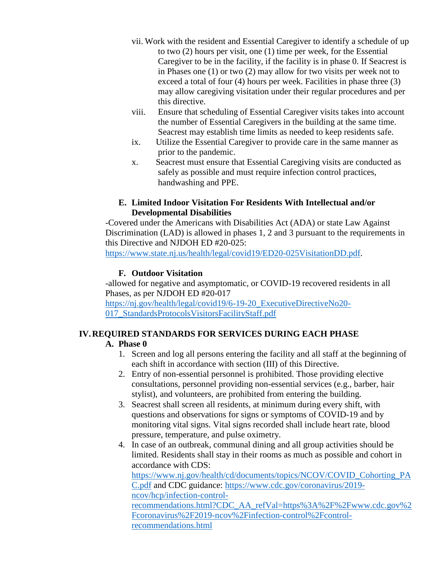- vii. Work with the resident and Essential Caregiver to identify a schedule of up to two (2) hours per visit, one (1) time per week, for the Essential Caregiver to be in the facility, if the facility is in phase 0. If Seacrest is in Phases one (1) or two (2) may allow for two visits per week not to exceed a total of four (4) hours per week. Facilities in phase three (3) may allow caregiving visitation under their regular procedures and per this directive.
- viii. Ensure that scheduling of Essential Caregiver visits takes into account the number of Essential Caregivers in the building at the same time. Seacrest may establish time limits as needed to keep residents safe.
- ix. Utilize the Essential Caregiver to provide care in the same manner as prior to the pandemic.
- x. Seacrest must ensure that Essential Caregiving visits are conducted as safely as possible and must require infection control practices, handwashing and PPE.

### **E. Limited Indoor Visitation For Residents With Intellectual and/or Developmental Disabilities**

-Covered under the Americans with Disabilities Act (ADA) or state Law Against Discrimination (LAD) is allowed in phases 1, 2 and 3 pursuant to the requirements in this Directive and NJDOH ED #20-025:

[https://www.state.nj.us/health/legal/covid19/ED20-025VisitationDD.pdf.](https://www.state.nj.us/health/legal/covid19/ED20-025VisitationDD.pdf)

### **F. Outdoor Visitation**

-allowed for negative and asymptomatic, or COVID-19 recovered residents in all Phases, as per NJDOH ED #20-017

[https://nj.gov/health/legal/covid19/6-19-20\\_ExecutiveDirectiveNo20-](https://nj.gov/health/legal/covid19/6-19-20_ExecutiveDirectiveNo20-017_StandardsProtocolsVisitorsFacilityStaff.pdf) [017\\_StandardsProtocolsVisitorsFacilityStaff.pdf](https://nj.gov/health/legal/covid19/6-19-20_ExecutiveDirectiveNo20-017_StandardsProtocolsVisitorsFacilityStaff.pdf)

## **IV.REQUIRED STANDARDS FOR SERVICES DURING EACH PHASE**

### **A. Phase 0**

- 1. Screen and log all persons entering the facility and all staff at the beginning of each shift in accordance with section (III) of this Directive.
- 2. Entry of non-essential personnel is prohibited. Those providing elective consultations, personnel providing non-essential services (e.g., barber, hair stylist), and volunteers, are prohibited from entering the building.
- 3. Seacrest shall screen all residents, at minimum during every shift, with questions and observations for signs or symptoms of COVID-19 and by monitoring vital signs. Vital signs recorded shall include heart rate, blood pressure, temperature, and pulse oximetry.
- 4. In case of an outbreak, communal dining and all group activities should be limited. Residents shall stay in their rooms as much as possible and cohort in accordance with CDS:

[https://www.nj.gov/health/cd/documents/topics/NCOV/COVID\\_Cohorting\\_PA](https://www.nj.gov/health/cd/documents/topics/NCOV/COVID_Cohorting_PAC.pdf) [C.pdf](https://www.nj.gov/health/cd/documents/topics/NCOV/COVID_Cohorting_PAC.pdf) and CDC guidance: [https://www.cdc.gov/coronavirus/2019](https://www.cdc.gov/coronavirus/2019-ncov/hcp/infection-control-recommendations.html?CDC_AA_refVal=https%3A%2F%2Fwww.cdc.gov%2Fcoronavirus%2F2019-ncov%2Finfection-control%2Fcontrol-recommendations.html) [ncov/hcp/infection-control](https://www.cdc.gov/coronavirus/2019-ncov/hcp/infection-control-recommendations.html?CDC_AA_refVal=https%3A%2F%2Fwww.cdc.gov%2Fcoronavirus%2F2019-ncov%2Finfection-control%2Fcontrol-recommendations.html)[recommendations.html?CDC\\_AA\\_refVal=https%3A%2F%2Fwww.cdc.gov%2](https://www.cdc.gov/coronavirus/2019-ncov/hcp/infection-control-recommendations.html?CDC_AA_refVal=https%3A%2F%2Fwww.cdc.gov%2Fcoronavirus%2F2019-ncov%2Finfection-control%2Fcontrol-recommendations.html) [Fcoronavirus%2F2019-ncov%2Finfection-control%2Fcontrol](https://www.cdc.gov/coronavirus/2019-ncov/hcp/infection-control-recommendations.html?CDC_AA_refVal=https%3A%2F%2Fwww.cdc.gov%2Fcoronavirus%2F2019-ncov%2Finfection-control%2Fcontrol-recommendations.html)[recommendations.html](https://www.cdc.gov/coronavirus/2019-ncov/hcp/infection-control-recommendations.html?CDC_AA_refVal=https%3A%2F%2Fwww.cdc.gov%2Fcoronavirus%2F2019-ncov%2Finfection-control%2Fcontrol-recommendations.html)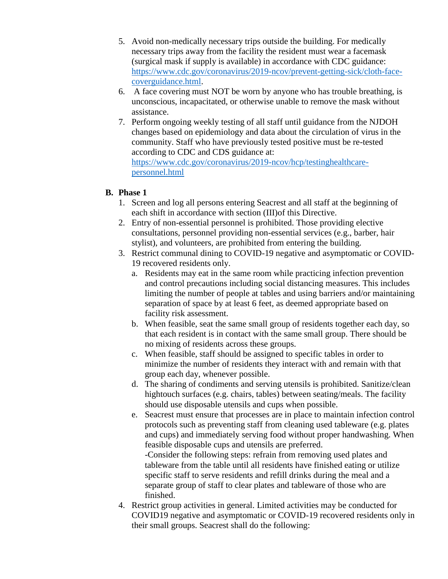- 5. Avoid non-medically necessary trips outside the building. For medically necessary trips away from the facility the resident must wear a facemask (surgical mask if supply is available) in accordance with CDC guidance: [https://www.cdc.gov/coronavirus/2019-ncov/prevent-getting-sick/cloth-face](https://www.cdc.gov/coronavirus/2019-ncov/prevent-getting-sick/cloth-face-coverguidance.html)[coverguidance.html.](https://www.cdc.gov/coronavirus/2019-ncov/prevent-getting-sick/cloth-face-coverguidance.html)
- 6. A face covering must NOT be worn by anyone who has trouble breathing, is unconscious, incapacitated, or otherwise unable to remove the mask without assistance.
- 7. Perform ongoing weekly testing of all staff until guidance from the NJDOH changes based on epidemiology and data about the circulation of virus in the community. Staff who have previously tested positive must be re-tested according to CDC and CDS guidance at: [https://www.cdc.gov/coronavirus/2019-ncov/hcp/testinghealthcare](https://www.cdc.gov/coronavirus/2019-ncov/hcp/testinghealthcare-personnel.html)[personnel.html](https://www.cdc.gov/coronavirus/2019-ncov/hcp/testinghealthcare-personnel.html)

### **B. Phase 1**

- 1. Screen and log all persons entering Seacrest and all staff at the beginning of each shift in accordance with section (III)of this Directive.
- 2. Entry of non-essential personnel is prohibited. Those providing elective consultations, personnel providing non-essential services (e.g., barber, hair stylist), and volunteers, are prohibited from entering the building.
- 3. Restrict communal dining to COVID-19 negative and asymptomatic or COVID-19 recovered residents only.
	- a. Residents may eat in the same room while practicing infection prevention and control precautions including social distancing measures. This includes limiting the number of people at tables and using barriers and/or maintaining separation of space by at least 6 feet, as deemed appropriate based on facility risk assessment.
	- b. When feasible, seat the same small group of residents together each day, so that each resident is in contact with the same small group. There should be no mixing of residents across these groups.
	- c. When feasible, staff should be assigned to specific tables in order to minimize the number of residents they interact with and remain with that group each day, whenever possible.
	- d. The sharing of condiments and serving utensils is prohibited. Sanitize/clean hightouch surfaces (e.g. chairs, tables) between seating/meals. The facility should use disposable utensils and cups when possible.
	- e. Seacrest must ensure that processes are in place to maintain infection control protocols such as preventing staff from cleaning used tableware (e.g. plates and cups) and immediately serving food without proper handwashing. When feasible disposable cups and utensils are preferred.

-Consider the following steps: refrain from removing used plates and tableware from the table until all residents have finished eating or utilize specific staff to serve residents and refill drinks during the meal and a separate group of staff to clear plates and tableware of those who are finished.

4. Restrict group activities in general. Limited activities may be conducted for COVID19 negative and asymptomatic or COVID-19 recovered residents only in their small groups. Seacrest shall do the following: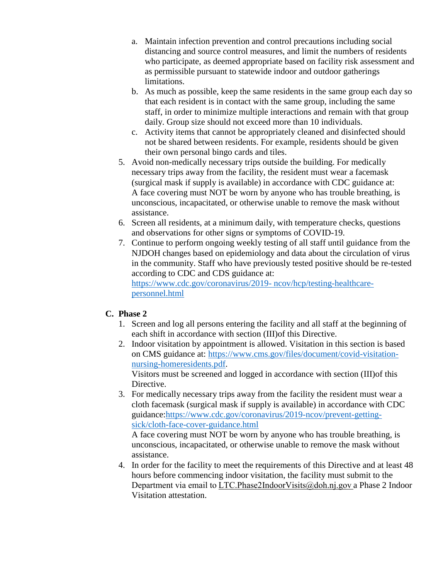- a. Maintain infection prevention and control precautions including social distancing and source control measures, and limit the numbers of residents who participate, as deemed appropriate based on facility risk assessment and as permissible pursuant to statewide indoor and outdoor gatherings limitations.
- b. As much as possible, keep the same residents in the same group each day so that each resident is in contact with the same group, including the same staff, in order to minimize multiple interactions and remain with that group daily. Group size should not exceed more than 10 individuals.
- c. Activity items that cannot be appropriately cleaned and disinfected should not be shared between residents. For example, residents should be given their own personal bingo cards and tiles.
- 5. Avoid non-medically necessary trips outside the building. For medically necessary trips away from the facility, the resident must wear a facemask (surgical mask if supply is available) in accordance with CDC guidance at: A face covering must NOT be worn by anyone who has trouble breathing, is unconscious, incapacitated, or otherwise unable to remove the mask without assistance.
- 6. Screen all residents, at a minimum daily, with temperature checks, questions and observations for other signs or symptoms of COVID-19.
- 7. Continue to perform ongoing weekly testing of all staff until guidance from the NJDOH changes based on epidemiology and data about the circulation of virus in the community. Staff who have previously tested positive should be re-tested according to CDC and CDS guidance at:

[https://www.cdc.gov/coronavirus/2019-](https://www.cdc.gov/coronavirus/2019-%20ncov/hcp/testing-healthcare-personnel.html) ncov/hcp/testing-healthcare[personnel.html](https://www.cdc.gov/coronavirus/2019-%20ncov/hcp/testing-healthcare-personnel.html)

## **C. Phase 2**

- 1. Screen and log all persons entering the facility and all staff at the beginning of each shift in accordance with section (III)of this Directive.
- 2. Indoor visitation by appointment is allowed. Visitation in this section is based on CMS guidance at: [https://www.cms.gov/files/document/covid-visitation](https://www.cms.gov/files/document/covid-visitation-nursing-homeresidents.pdf)[nursing-homeresidents.pdf.](https://www.cms.gov/files/document/covid-visitation-nursing-homeresidents.pdf)

Visitors must be screened and logged in accordance with section (III)of this Directive.

3. For medically necessary trips away from the facility the resident must wear a cloth facemask (surgical mask if supply is available) in accordance with CDC guidance[:https://www.cdc.gov/coronavirus/2019-ncov/prevent-getting](https://www.cdc.gov/coronavirus/2019-ncov/prevent-getting-sick/cloth-face-cover-guidance.html)[sick/cloth-face-cover-guidance.html](https://www.cdc.gov/coronavirus/2019-ncov/prevent-getting-sick/cloth-face-cover-guidance.html)

A face covering must NOT be worn by anyone who has trouble breathing, is unconscious, incapacitated, or otherwise unable to remove the mask without assistance.

4. In order for the facility to meet the requirements of this Directive and at least 48 hours before commencing indoor visitation, the facility must submit to the Department via email to LTC.Phase2IndoorVisits@doh.nj.gov a Phase 2 Indoor Visitation attestation.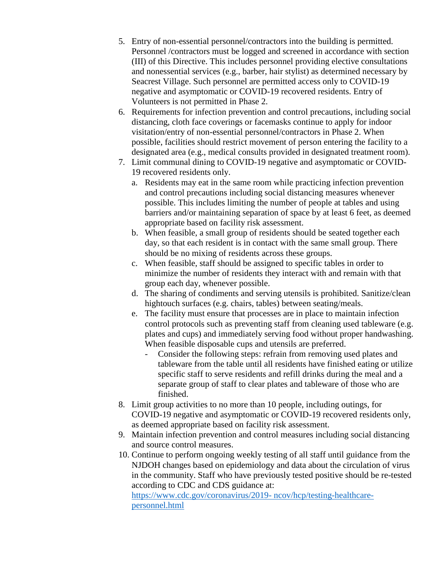- 5. Entry of non-essential personnel/contractors into the building is permitted. Personnel /contractors must be logged and screened in accordance with section (III) of this Directive. This includes personnel providing elective consultations and nonessential services (e.g., barber, hair stylist) as determined necessary by Seacrest Village. Such personnel are permitted access only to COVID-19 negative and asymptomatic or COVID-19 recovered residents. Entry of Volunteers is not permitted in Phase 2.
- 6. Requirements for infection prevention and control precautions, including social distancing, cloth face coverings or facemasks continue to apply for indoor visitation/entry of non-essential personnel/contractors in Phase 2. When possible, facilities should restrict movement of person entering the facility to a designated area (e.g., medical consults provided in designated treatment room).
- 7. Limit communal dining to COVID-19 negative and asymptomatic or COVID-19 recovered residents only.
	- a. Residents may eat in the same room while practicing infection prevention and control precautions including social distancing measures whenever possible. This includes limiting the number of people at tables and using barriers and/or maintaining separation of space by at least 6 feet, as deemed appropriate based on facility risk assessment.
	- b. When feasible, a small group of residents should be seated together each day, so that each resident is in contact with the same small group. There should be no mixing of residents across these groups.
	- c. When feasible, staff should be assigned to specific tables in order to minimize the number of residents they interact with and remain with that group each day, whenever possible.
	- d. The sharing of condiments and serving utensils is prohibited. Sanitize/clean hightouch surfaces (e.g. chairs, tables) between seating/meals.
	- e. The facility must ensure that processes are in place to maintain infection control protocols such as preventing staff from cleaning used tableware (e.g. plates and cups) and immediately serving food without proper handwashing. When feasible disposable cups and utensils are preferred.
		- Consider the following steps: refrain from removing used plates and tableware from the table until all residents have finished eating or utilize specific staff to serve residents and refill drinks during the meal and a separate group of staff to clear plates and tableware of those who are finished.
- 8. Limit group activities to no more than 10 people, including outings, for COVID-19 negative and asymptomatic or COVID-19 recovered residents only, as deemed appropriate based on facility risk assessment.
- 9. Maintain infection prevention and control measures including social distancing and source control measures.
- 10. Continue to perform ongoing weekly testing of all staff until guidance from the NJDOH changes based on epidemiology and data about the circulation of virus in the community. Staff who have previously tested positive should be re-tested according to CDC and CDS guidance at:

[https://www.cdc.gov/coronavirus/2019-](https://www.cdc.gov/coronavirus/2019-%20ncov/hcp/testing-healthcare-personnel.html) ncov/hcp/testing-healthcare[personnel.html](https://www.cdc.gov/coronavirus/2019-%20ncov/hcp/testing-healthcare-personnel.html)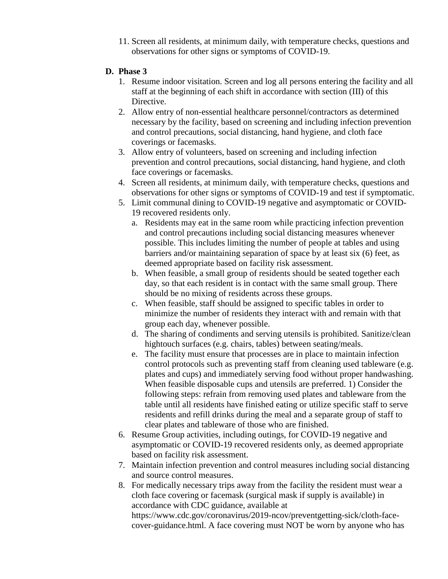11. Screen all residents, at minimum daily, with temperature checks, questions and observations for other signs or symptoms of COVID-19.

### **D. Phase 3**

- 1. Resume indoor visitation. Screen and log all persons entering the facility and all staff at the beginning of each shift in accordance with section (III) of this Directive.
- 2. Allow entry of non-essential healthcare personnel/contractors as determined necessary by the facility, based on screening and including infection prevention and control precautions, social distancing, hand hygiene, and cloth face coverings or facemasks.
- 3. Allow entry of volunteers, based on screening and including infection prevention and control precautions, social distancing, hand hygiene, and cloth face coverings or facemasks.
- 4. Screen all residents, at minimum daily, with temperature checks, questions and observations for other signs or symptoms of COVID-19 and test if symptomatic.
- 5. Limit communal dining to COVID-19 negative and asymptomatic or COVID-19 recovered residents only.
	- a. Residents may eat in the same room while practicing infection prevention and control precautions including social distancing measures whenever possible. This includes limiting the number of people at tables and using barriers and/or maintaining separation of space by at least six (6) feet, as deemed appropriate based on facility risk assessment.
	- b. When feasible, a small group of residents should be seated together each day, so that each resident is in contact with the same small group. There should be no mixing of residents across these groups.
	- c. When feasible, staff should be assigned to specific tables in order to minimize the number of residents they interact with and remain with that group each day, whenever possible.
	- d. The sharing of condiments and serving utensils is prohibited. Sanitize/clean hightouch surfaces (e.g. chairs, tables) between seating/meals.
	- e. The facility must ensure that processes are in place to maintain infection control protocols such as preventing staff from cleaning used tableware (e.g. plates and cups) and immediately serving food without proper handwashing. When feasible disposable cups and utensils are preferred. 1) Consider the following steps: refrain from removing used plates and tableware from the table until all residents have finished eating or utilize specific staff to serve residents and refill drinks during the meal and a separate group of staff to clear plates and tableware of those who are finished.
- 6. Resume Group activities, including outings, for COVID-19 negative and asymptomatic or COVID-19 recovered residents only, as deemed appropriate based on facility risk assessment.
- 7. Maintain infection prevention and control measures including social distancing and source control measures.
- 8. For medically necessary trips away from the facility the resident must wear a cloth face covering or facemask (surgical mask if supply is available) in accordance with CDC guidance, available at

https://www.cdc.gov/coronavirus/2019-ncov/preventgetting-sick/cloth-facecover-guidance.html. A face covering must NOT be worn by anyone who has